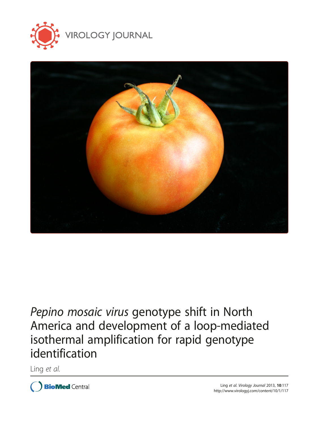



Pepino mosaic virus genotype shift in North America and development of a loop-mediated isothermal amplification for rapid genotype identification

Ling et al.

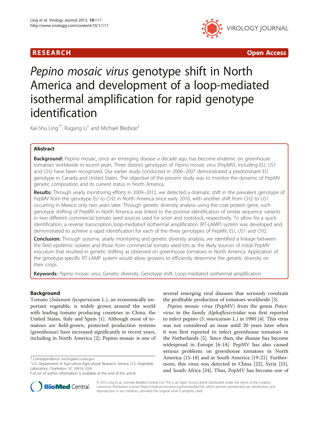

R E S EAR CH Open Access

# Pepino mosaic virus genotype shift in North America and development of a loop-mediated isothermal amplification for rapid genotype identification

Kai-Shu Ling<sup>1\*</sup>, Rugang Li<sup>1</sup> and Michael Bledsoe<sup>2</sup>

# Abstract

Background: Pepino mosaic, once an emerging disease a decade ago, has become endemic on greenhouse tomatoes worldwide in recent years. Three distinct genotypes of Pepino mosaic virus (PepMV), including EU, US1 and CH2 have been recognized. Our earlier study conducted in 2006–2007 demonstrated a predominant EU genotype in Canada and United States. The objective of the present study was to monitor the dynamic of PepMV genetic composition and its current status in North America.

Results: Through yearly monitoring efforts in 2009–2012, we detected a dramatic shift in the prevalent genotype of PepMV from the genotype EU to CH2 in North America since early 2010, with another shift from CH2 to US1 occurring in Mexico only two years later. Through genetic diversity analysis using the coat protein gene, such genotype shifting of PepMV in North America was linked to the positive identification of similar sequence variants in two different commercial tomato seed sources used for scion and rootstock, respectively. To allow for a quick identification, a reverse transcription loop-mediated isothermal amplification (RT-LAMP) system was developed and demonstrated to achieve a rapid identification for each of the three genotypes of PepMV, EU, US1 and CH2.

**Conclusion:** Through systemic yearly monitoring and genetic diversity analysis, we identified a linkage between the field epidemic isolates and those from commercial tomato seed lots as the likely sources of initial PepMV inoculum that resulted in genetic shifting as observed on greenhouse tomatoes in North America. Application of the genotype-specific RT-LAMP system would allow growers to efficiently determine the genetic diversity on their crops.

Keywords: Pepino mosaic virus, Genetic diversity, Genotype shift, Loop-mediated isothermal amplification

# Background

Tomato (Solanum lycopersicum L.), an economically important vegetable, is widely grown around the world with leading tomato producing countries in China, the United States, Italy and Spain [\[1](#page-11-0)]. Although most of tomatoes are field-grown, protected production systems (greenhouse) have increased significantly in recent years, including in North America [\[2](#page-11-0)]. Pepino mosaic is one of



Pepino mosaic virus (PepMV) from the genus Potexvirus in the family Alphaflexiviridae was first reported to infect pepino (S. muricatum L.) in 1980 [[4](#page-11-0)]. This virus was not considered an issue until 20 years later when it was first reported to infect greenhouse tomatoes in the Netherlands [[5\]](#page-11-0). Since then, the disease has become widespread in Europe [\[6](#page-11-0)-[14\]](#page-11-0). PepMV has also caused serious problems on greenhouse tomatoes in North America [[15-18\]](#page-11-0) and in South America [[19-21\]](#page-11-0). Furthermore, this virus was detected in China [[22\]](#page-11-0), Syria [\[23](#page-11-0)], and South Africa [\[24](#page-11-0)]. Thus, PepMV has become one of



© 2013 Ling et al.; licensee BioMed Central Ltd. This is an Open Access article distributed under the terms of the Creative Commons Attribution License [\(http://creativecommons.org/licenses/by/2.0\)](http://creativecommons.org/licenses/by/2.0), which permits unrestricted use, distribution, and reproduction in any medium, provided the original work is properly cited.

<sup>\*</sup> Correspondence: [kai.ling@ars.usda.gov](mailto:kai.ling@ars.usda.gov) <sup>1</sup>

<sup>&</sup>lt;sup>1</sup>U.S. Department of Agriculture-Agricultural Research Service, U.S. Vegetable Laboratory, Charleston, SC 29414, USA

Full list of author information is available at the end of the article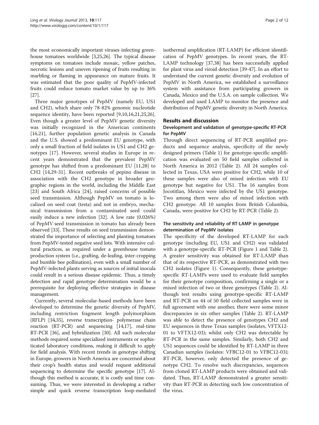the most economically important viruses infecting greenhouse tomatoes worldwide [\[3,25,26\]](#page-11-0). The typical disease symptoms on tomatoes include mosaic, yellow patches, necrotic lesions and uneven ripening of fruits resulting in marbling or flaming in appearance on mature fruits. It was estimated that the poor quality of PepMV-infected fruits could reduce tomato market value by up to 36% [[27](#page-11-0)].

Three major genotypes of PepMV (namely EU, US1 and CH2), which share only 78-82% genomic nucleotide sequence identity, have been reported [\[9](#page-11-0),[10](#page-11-0),[16,21,25,26](#page-11-0)]. Even though a greater level of PepMV genetic diversity was initially recognized in the American continents [[16,21\]](#page-11-0), further population genetic analysis in Canada and the U.S. showed a predominant EU genotype, with only a small fraction of field isolates in US1 and CH2 genotypes [\[17](#page-11-0)]. However, several studies in Europe in recent years demonstrated that the prevalent PepMV genotype has shifted from a predominant EU [[11,28](#page-11-0)] to CH2 [\[14,29](#page-11-0)-[31\]](#page-11-0). Recent outbreaks of pepino disease in association with the CH2 genotype in broader geographic regions in the world, including the Middle East [[23\]](#page-11-0) and South Africa [\[24\]](#page-11-0), raised concerns of possible seed transmission. Although PepMV on tomato is localized on seed coat (testa) and not in embryo, mechanical transmission from a contaminated seed could easily induce a new infection [[32\]](#page-11-0). A low rate (0.026%) of PepMV seed transmission in tomato has already been observed [\[33](#page-11-0)]. These results on seed transmission demonstrated the importance of selecting and planting tomatoes from PepMV-tested negative seed lots. With intensive cultural practices, as required under a greenhouse tomato production system (i.e., grafting, de-leafing, inter-cropping and bumble bee pollination), even with a small number of PepMV-infected plants serving as sources of initial inocula could result in a serious disease epidemic. Thus, a timely detection and rapid genotype determination would be a prerequisite for deploying effective strategies in disease management.

Currently, several molecular-based methods have been developed to determine the genetic diversity of PepMV, including restriction fragment length polymorphism (RFLP) [\[34,35](#page-11-0)], reverse transcription- polymerase chain reaction (RT-PCR) and sequencing [[14,17\]](#page-11-0), real-time RT-PCR [[36\]](#page-11-0), and hybridization [[30\]](#page-11-0). All such molecular methods required some specialized instruments or sophisticated laboratory conditions, making it difficult to apply for field analysis. With recent trends in genotype shifting in Europe, growers in North America are concerned about their crop's health status and would request additional sequencing to determine the specific genotype [\[17\]](#page-11-0). Although this method is accurate, it is costly and time consuming. Thus, we were interested in developing a rather simple and quick reverse transcription loop-mediated isothermal amplification (RT-LAMP) for efficient identification of PepMV genotypes. In recent years, the RT-LAMP technology [\[37,38](#page-11-0)] has been successfully applied for plant virus and viroid detection [\[39](#page-11-0)[-47\]](#page-12-0). In an effort to understand the current genetic diversity and evolution of PepMV in North America, we established a surveillance system with assistance from participating growers in Canada, Mexico and the U.S.A. on sample collection. We developed and used LAMP to monitor the presence and distribution of PepMV genetic diversity in North America.

## Results and discussion

# Development and validation of genotype-specific RT-PCR for PepMV

Through direct sequencing of RT-PCR amplified products and sequence analysis, specificity of the newly designed primers (Table [1\)](#page-3-0) for genotype-specific amplification was evaluated on 50 field samples collected in North America in 2012 (Table [2\)](#page-4-0). All 24 samples collected in Texas, USA were positive for CH2, while 10 of these samples were also of mixed infection with EU genotype but negative for US1. The 16 samples from Jocotitlan, Mexico were infected by the US1 genotype. Two among them were also of mixed infection with CH2 genotype. All 10 samples from British Columbia, Canada, were positive for CH2 by RT-PCR (Table [2\)](#page-4-0).

## The sensitivity and reliability of RT-LAMP in genotype determination of PepMV isolates

The specificity of the developed RT-LAMP for each genotype (including EU, US1 and CH2) was validated with a genotype-specific RT-PCR (Figure [1](#page-5-0) and Table [2](#page-4-0)). A greater sensitivity was obtained for RT-LAMP than that of its respective RT-PCR, as demonstrated with two CH2 isolates (Figure [1\)](#page-5-0). Consequently, these genotypespecific RT-LAMPs were used to evaluate field samples for their genotype composition, confirming a single or a mixed infection of two or three genotypes (Table [2\)](#page-4-0). Although test results using genotype-specific RT-LAMP and RT-PCR on 44 of 50 field collected samples were in full agreement with one another, there were some minor discrepancies in six other samples (Table [2](#page-4-0)). RT-LAMP was able to detect the presence of genotypes CH2 and EU sequences in three Texas samples (isolates, VFTX12- 01 to VFTX12-03); whilst only CH2 was detectable by RT-PCR in the same samples. Similarly, both CH2 and US1 sequences could be identified by RT-LAMP in three Canadian samples (isolates: VFBC12-01 to VFBC12-03); RT-PCR, however, only detected the presence of genotype CH2. To resolve such discrepancies, sequences from cloned RT-LAMP products were obtained and validated. Thus, RT-LAMP demonstrated a greater sensitivity than RT-PCR in detecting such low concentration of the virus.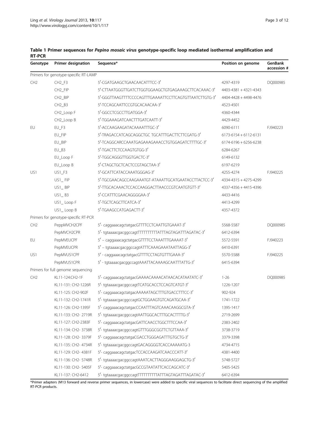| Genotype        | <b>Primer designation</b>             | Sequence*                                               | Position on genome          | GenBank<br>accession # |  |
|-----------------|---------------------------------------|---------------------------------------------------------|-----------------------------|------------------------|--|
|                 | Primers for genotype-specific RT-LAMP |                                                         |                             |                        |  |
| CH <sub>2</sub> | $CH2_F3$                              | 5'-CGATGAAGCTGAACAACATTTCC-3'                           | 4297-4319                   | DQ000985               |  |
|                 | CH <sub>2_FIP</sub>                   | 5'-CTTAATGGGTTGATCTTGGTGGAAGCTGTGAGAAAGCTTCACAAAC-3'    | 4403-4381 + 4321-4343       |                        |  |
|                 | CH <sub>2_BIP</sub>                   | 5'-GGGTTAAGTTTTCCCCAGTTTGAAAATTCCTTCAGTGTTAATCTTGTG-3'  | 4404-4428 + 4498-4476       |                        |  |
|                 | $CH2_B3$                              | 5'-TCCAGCAATTCCGTGCACAACAA-3'                           | 4523-4501                   |                        |  |
|                 | CH2_Loop F                            | 5'-GGCCTCGCCTTGATGGA-3'                                 | 4360-4344                   |                        |  |
|                 | CH2_Loop B                            | 5'-TGGAAAGATCAACTTTGATCAATT-3'                          | 4429-4452                   |                        |  |
| EU              | $EU_F3$                               | 5'-ACCAAGAAGATACAAAATTTGC-3'                            | 6090-6111                   | FJ940223               |  |
|                 | EU_FIP                                | 5'-TRAGACCATCAGCAGGCTGC TGCATTTGACTTCTTCGATG-3'         | $6173 - 6154 + 6112 - 6131$ |                        |  |
|                 | EU_BIP                                | 5'-TCAGGCARCCAAATGAGAAAGAAACCTGTGGAGATCTTTTGC-3'        | $6174 - 6196 + 6256 - 6238$ |                        |  |
|                 | $EU_B3$                               | 5'-TGACTTCTCCAAGTGTGG-3'                                | 6284-6267                   |                        |  |
|                 | EU_Loop F                             | 5'-TGGCAGGGTTGGTGACTC-3'                                | 6149-6132                   |                        |  |
|                 | EU_Loop B                             | 5'-CTAGCTGCTCACTCCGTAGCTAA-3'                           | 6197-6219                   |                        |  |
| US1             | $US1_F3$                              | 5'-GCATTCATACCAAATGGGAG-3'                              | 4255-4274                   | FJ940225               |  |
|                 | US1 FIP                               | 5'-TGCGAACAGCCAAGAAATGT-ATAAATTGCATGAATACCTTACTCC-3'    | 4334-4315 + 4275-4299       |                        |  |
|                 | US1_BIP                               | 5'-TTGCACAAACTCCACCAAGGACTTAACCCGTCAATGTGTT-3'          | 4337-4356 + 4415-4396       |                        |  |
|                 | US1_B3                                | 5'-CCATTTCGAACAGGGGAA-3'                                | 4433-4416                   |                        |  |
|                 | US1_Loop F                            | 5'-TGCTCAGCTTCATCA-3'                                   | 4413-4299                   |                        |  |
|                 | US1_Loop B                            | 5'-TGAAGCCATGAGACTT-3'                                  | 4357-4372                   |                        |  |
|                 | Primers for genotype-specific RT-PCR  |                                                         |                             |                        |  |
| CH <sub>2</sub> | PeppMVCH2CPF                          | 5'- caggaaacagctatgacGTTTTCCTCAATTGTGAAAT-3'            | 5568-5587                   | DQ000985               |  |
|                 | PepMVCH2CPR                           | 5'- tgtaaaacgacggccagtTTTTTTTTTTTATTTAGTAGATTTAGATAC-3' | 6412-6394                   |                        |  |
| EU              | PepMVEUCPF                            | 5' - caggaaacagctatgacGTTTTCCTAAATTTGAAAAT-3'           | 5572-5591                   | FJ940223               |  |
|                 | PepMVEUCPR                            | 5' - tgtaaaacgacggccagtATTTCAAAGAAATAATTAGG-3'          | 6410-6391                   |                        |  |
| US1             | PepMVUS1CPF                           | 5' - caggaaacagctatgacGTTTTCCTAGTGTTTGAAA-3'            | 5570-5588                   | FJ940225               |  |
|                 | PepMVUS1CPR                           | 5' - tgtaaaacgacggccagtAAATTACAAAAGCAATTTATTG-3'        | 6415-6394                   |                        |  |
|                 | Primers for full genome sequencing    |                                                         |                             |                        |  |
| CH <sub>2</sub> | KL11-124:CH2-1F                       | 5'- caggaaacagctatgacGAAAACAAAACATAACACATAATATC-3'      | $1 - 26$                    | DQ000985               |  |
|                 | KL11-131: CH2-1226R                   | 5'- tgtaaaacgacggccagtTCATGCACCTCCAGTCATGT-3'           | 1226-1207                   |                        |  |
|                 | KL11-125: CH2-902F                    | 5'- caggaaacagctatgacAAAAATAGCTTTGTGACCTTTCC-3'         | 902-924                     |                        |  |
|                 | KL11-132: CH2-1741R                   | 5'- tgtaaaacgacggccagtGCTGGAAGTGTCAGATGCAA-3'           | 1741-1722                   |                        |  |
|                 | KL11-126: CH2-1395F                   | 5'- caggaaacagctatgacCCAATTTAGTCAAACAAGGCGTA-3'         | 1395-1417                   |                        |  |
|                 | KL11-133: CH2- 2719R                  | 5'- tgtaaaacgacggccagtAATTGGCACTTTGCACTTTTG-3'          | 2719-2699                   |                        |  |
|                 | KL11-127: CH2-2383F                   | 5'- caggaaacagctatgacGATTCAACCTGGCTTTCCAA-3'            | 2383-2402                   |                        |  |
|                 | KL11-134: CH2-3738R                   | 5'- tgtaaaacgacggccagtGTTTGGGCGGTTCTGTTAAA-3'           | 3738-3719                   |                        |  |
|                 | KL11-128: CH2- 3379F                  | 5'- caggaaacagctatgaCGACCTGGGAGATTTGTGCTG-3'            | 3379-3398                   |                        |  |
|                 | KL11-135: CH2- 4734R                  | 5'- tgtaaaacgacggccagtGACAGGGGTCACCAAAAATG-3            | 4734-4715                   |                        |  |
|                 | KL11-129: CH2- 4381F                  | 5'- caggaaacagctatgacTCCACCAAGATCAACCCATT-3'            | 4381-4400                   |                        |  |
|                 | KL11-136: CH2- 5748R                  | 5'- tgtaaaacgacggccagtAAATCACTTAGGGAAGGAGCTG-3'         | 5748-5727                   |                        |  |
|                 | KL11-130: CH2-5405F                   | 5'- caggaaacagctatgacGCCGTAATATTCACCAGCATC-3'           | 5405-5425                   |                        |  |
|                 | KL11-137: CH2-6412                    | 5'- tgtaaaacgacggccagtTTTTTTTTTTATTTAGTAGATTTAGATAC-3'  | 6412-6394                   |                        |  |

<span id="page-3-0"></span>Table 1 Primer sequences for Pepino mosaic virus genotype-specific loop mediated isothermal amplification and RT-PCR

\*Primer adapters (M13 forward and reverse primer sequences, in lowercase) were added to specific viral sequences to facilitate direct sequencing of the amplified RT-PCR products.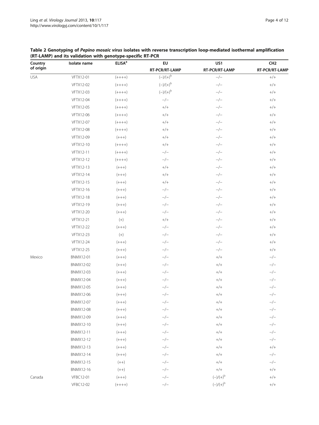<span id="page-4-0"></span>

| Table 2 Genotyping of Pepino mosaic virus isolates with reverse transcription loop-mediated isothermal amplification |
|----------------------------------------------------------------------------------------------------------------------|
| (RT-LAMP) and its validation with genotype-specific RT-PCR                                                           |

| Country    | Isolate name     | <b>ELISA<sup>a</sup></b> | EU             | US1            | CH <sub>2</sub> |
|------------|------------------|--------------------------|----------------|----------------|-----------------|
| of origin  |                  |                          | RT-PCR/RT-LAMP | RT-PCR/RT-LAMP | RT-PCR/RT-LAMP  |
| <b>USA</b> | <b>VFTX12-01</b> | $(++++)$                 | $(-)/(+)^{b}$  | $-/-$          | $+/+$           |
|            | VFTX12-02        | $(++++)$                 | $(-)/(+)^{b}$  | $-/-$          | $+/+$           |
|            | VFTX12-03        | $(++++)$                 | $(-)/(+)^{b}$  | $-/-$          | $^{+/+}$        |
|            | VFTX12-04        | $(++++)$                 | $-/-$          | $-/-$          | $^{+/+}$        |
|            | VFTX12-05        | $(++++)$                 | $+/+$          | $-/-$          | $^{+/+}$        |
|            | VFTX12-06        | $(++++)$                 | $+/+$          | $-/-$          | $^{+/+}$        |
|            | VFTX12-07        | $(++++)$                 | $+/+$          | $-/-$          | $^{+/+}$        |
|            | <b>VFTX12-08</b> | $(++++)$                 | $^{+/+}$       | $-/-$          | $+/+$           |
|            | VFTX12-09        | $(+++)$                  | $+/+$          | $-/-$          | $^{+/+}$        |
|            | VFTX12-10        | $(++++)$                 | $^{+/+}$       | $-/-$          | $^{+/+}$        |
|            | VFTX12-11        | $(++++)$                 | $-/-$          | $-/-$          | $^{+/+}$        |
|            | VFTX12-12        | $(++++)$                 | $-/-$          | $-/-$          | $^{+/+}$        |
|            | VFTX12-13        | $(+++)$                  | $^{+/+}$       | $-/-$          | $^{+/+}$        |
|            | VFTX12-14        | $(+++)$                  | $+/+$          | $-/-$          | $+/+$           |
|            | VFTX12-15        | $(+++)$                  | $+/+$          | $-/-$          | $^{+/+}$        |
|            | VFTX12-16        | $(+++)$                  | $-/-$          | $-/-$          | $^{+/+}$        |
|            | VFTX12-18        | $(+++)$                  | $-/-$          | $-/-$          | $+/+$           |
|            | VFTX12-19        | $(+++)$                  | $-/-$          | $-/-$          | $^{+/+}$        |
|            | VFTX12-20        | $(+++)$                  | $-/-$          | $-/-$          | $^{+/+}$        |
|            | VFTX12-21        | $\left( +\right)$        | $+/+$          | $-/-$          | $+/+$           |
|            | <b>VFTX12-22</b> | $(+++)$                  | $-/-$          | $-/-$          | $^{+/+}$        |
|            | <b>VFTX12-23</b> | $(+)$                    | $-/-$          | $-/-$          | $^{+/+}$        |
|            | VFTX12-24        | $(+++)$                  | $-/-$          | $-/-$          | $+/+$           |
|            | VFTX12-25        | $(+++)$                  | $-/-$          | $-/-$          | $^{+/+}$        |
| Mexico     | BNMX12-01        | $(+++)$                  | $-/-$          | $^{+/+}$       | $-/-$           |
|            | BNMX12-02        | $(+ + + )$               | $-/-$          | $+/+$          | $-/-$           |
|            | BNMX12-03        | $(+++)$                  | $-/-$          | $^{+/+}$       | $-/-$           |
|            | <b>BNMX12-04</b> | $(+++)$                  | $-/-$          | $^{+/+}$       | $-/-$           |
|            | BNMX12-05        | $(+++)$                  | $-/-$          | $^{+/+}$       | $-/-$           |
|            | BNMX12-06        | $(+++)$                  | $-/-$          | $^{+/+}$       | $-/-$           |
|            | BNMX12-07        | $(+ + + )$               | $-/-$          | $^{+/+}$       | $-/-$           |
|            | <b>BNMX12-08</b> | $(+ + + )$               | $-/-$          | $+/+$          | $-/-$           |
|            | BNMX12-09        | $(+ + + )$               | $-/-$          | $^{+/+}$       | $-/-$           |
|            | BNMX12-10        | $(+ + + )$               | $-/-$          | $^{+/+}$       | $-/-$           |
|            | BNMX12-11        | $(+ + + )$               | $-/-$          | $^{+/+}$       | $-/-$           |
|            | BNMX12-12        | $(+ + + )$               | $-/-$          | $^{+/+}$       | $-/-$           |
|            | BNMX12-13        | $(+ + +)$                | $-/-$          | $^{+/+}$       | $^{+/+}$        |
|            | BNMX12-14        | $(+ + + )$               | $-/-$          | $^{+/+}$       | $-/-$           |
|            | BNMX12-15        | $(++)$                   | $-/-$          | $^{+/+}$       | $-/-$           |
|            | BNMX12-16        | $(++)$                   | $-/-$          | $+/+$          | $^{+/+}$        |
| Canada     | VFBC12-01        | $(+++)$                  | $-/-$          | $(-)/(+)^{b}$  | $+/+$           |
|            | <b>VFBC12-02</b> | $(++++)$                 | $-/-$          | $(-)/(+)^{b}$  | $+/+$           |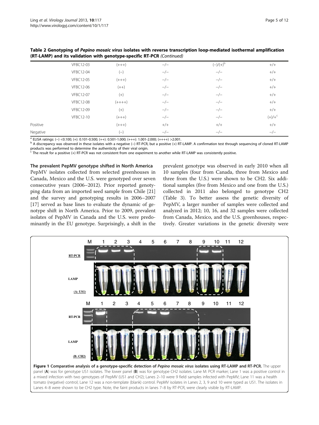|          | <b>VFBC12-03</b> | $(+++)$  | $-/-$ | $(-)/(+)^b$ | $+/+$     |
|----------|------------------|----------|-------|-------------|-----------|
|          | <b>VFBC12-04</b> | $(-)$    | $-/-$ | $-/-$       | $+/+$     |
|          | <b>VFBC12-05</b> | $(+++)$  | $-/-$ | $-/-$       | $^{+/+}$  |
|          | VFBC12-06        | $(++)$   | $-/-$ | $-/-$       | $+/+$     |
|          | <b>VFBC12-07</b> | $(+)$    | $-/-$ | $-/-$       | $+/+$     |
|          | <b>VFBC12-08</b> | $(++++)$ | $-/-$ | $-/-$       | $^{+/+}$  |
|          | VFBC12-09        | $(+)$    | $-/-$ | $-/-$       | $+/+$     |
|          | <b>VFBC12-10</b> | $(+++)$  | $-/-$ | $-/-$       | $(+)/+^c$ |
| Positive |                  | $(+++)$  | $+/+$ | $+/+$       | $+/+$     |
| Negative |                  | $(-)$    | $-/-$ | $-/-$       | $-/-$     |

<span id="page-5-0"></span>Table 2 Genotyping of Pepino mosaic virus isolates with reverse transcription loop-mediated isothermal amplification (RT-LAMP) and its validation with genotype-specific RT-PCR (Continued)

 $^a$  ELISA ratings: (-) <0.100; (+): 0.101-0.500; (++): 0.501-1.000; (+++): 1.001-2.000; (++++) >2.001.<br>  $^b$  A discrepancy was observed in these isolates with a negative (-) RT-PCR, but a positive (+) RT-LAMP. A confirma products was performed to determine the authenticity of their viral origin.

<sup>c</sup> The result for a positive (+) RT-PCR was not consistent from one experiment to another while RT-LAMP was consistently positive.

The prevalent PepMV genotype shifted in North America PepMV isolates collected from selected greenhouses in

Canada, Mexico and the U.S. were genotyped over seven consecutive years (2006–2012). Prior reported genotyping data from an imported seed sample from Chile [[21](#page-11-0)] and the survey and genotyping results in 2006–2007 [[17\]](#page-11-0) served as base lines to evaluate the dynamic of genotype shift in North America. Prior to 2009, prevalent isolates of PepMV in Canada and the U.S. were predominantly in the EU genotype. Surprisingly, a shift in the prevalent genotype was observed in early 2010 when all 10 samples (four from Canada, three from Mexico and three from the U.S.) were shown to be CH2. Six additional samples (five from Mexico and one from the U.S.) collected in 2011 also belonged to genotype CH2 (Table [3\)](#page-6-0). To better assess the genetic diversity of PepMV, a larger number of samples were collected and analyzed in 2012; 10, 16, and 32 samples were collected from Canada, Mexico, and the U.S. greenhouses, respectively. Greater variations in the genetic diversity were

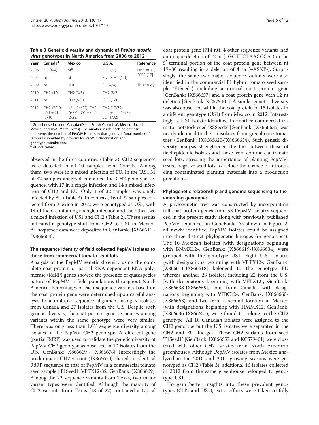<span id="page-6-0"></span>Table 3 Genetic diversity and dynamic of Pepino mosaic virus genotypes in North America from 2006 to 2012

| Year | Canada <sup>a</sup>                              | Mexico                                          | <b>U.S.A.</b>                                                | Reference                 |  |
|------|--------------------------------------------------|-------------------------------------------------|--------------------------------------------------------------|---------------------------|--|
| 2006 | EU (4/4)                                         | $nt^b$                                          | EU (7/7)                                                     | Ling et al.,<br>2008 [17] |  |
| 2007 | nt                                               | nt                                              | $EU + CH2 (1/1)$                                             |                           |  |
| 2009 | nt                                               | 0/10                                            | EU (4/4)                                                     | This study                |  |
| 2010 | CH <sub>2</sub> (4/4)                            | CH2(3/3)                                        | CH2(3/3)                                                     |                           |  |
| 2011 | nt                                               | CH <sub>2</sub> (5/5)                           | CH2(1/1)                                                     |                           |  |
| 2012 | CH <sub>2</sub> (7/10),<br>$US1 + CH2$<br>(3/10) | US1 (14/22), CH2<br>(6/22), US1 + CH2<br>(2/22) | CH <sub>2</sub> (17/32),<br>$CH2 + EU$ (14/32),<br>EU (1/32) |                           |  |

a Greenhouse location: Canada (Delta, British Columbia), Mexico (Jocotitlan, Mexico) and USA (Marfa, Texas). The number inside each parenthesis represents the number of PepMV isolates in that genotype/total number of samples submitted by growers for PepMV identification and genotype examination. <sup>b</sup> nt: not tested.

observed in the three countries (Table 3). CH2 sequences were detected in all 10 samples from Canada. Among them, two were in a mixed infection of EU. In the U.S., 31 of 32 samples analyzed contained the CH2 genotype sequence, with 17 in a single infection and 14 a mixed infection of CH2 and EU. Only 1 of 32 samples was singly infected by EU (Table 3). In contrast, 16 of 22 samples collected from Mexico in 2012 were genotyped as US1, with 14 of them containing a single infection and the other two a mixed infection of US1 and CH2 (Table [2](#page-4-0)). These results indicated a genotype shift from CH2 to US1 in Mexico. All sequence data were deposited in GenBank [JX866611 - JX866663].

# The sequence identity of field collected PepMV isolates to those from commercial tomato seed lots

Analysis of the PepMV genetic diversity using the complete coat protein or partial RNA-dependant RNA polymerase (RdRP) genes showed the presence of quasispecies nature of PepMV in field populations throughout North America. Percentages of each sequence variants based on the coat protein gene were determined upon careful analysis to a multiple sequence alignment using 9 isolates from Canada and 27 isolates from the U.S. Despite such genetic diversity, the coat protein gene sequences among variants within the same genotype were very similar. There was only less than 1.0% sequence diversity among isolates in the PepMV CH2 genotype. A different gene (partial RdRP) was used to validate the genetic diversity of PepMV CH2 genotype as observed in 10 isolates from the U.S. [GenBank: JX866669 - JX866678]. Interestingly, the predominant CH2 variant (JX866670) shared an identical RdRP sequence to that of PepMV in a commercial tomato seed sample ['F1Seed1', VFTX12-32, GenBank: JX866669]. Among the 22 sequence variants from Texas, two major variant types were identified. Although the majority of CH2 variants from Texas (18 of 22) contained a typical coat protein gene (714 nt), 4 other sequence variants had an unique deletion of 12 nt (−GCTTCTAACCCA-) in the  $5'$  terminal portion of the coat protein gene between nt 19–30 resulting in a deletion of 4 aa (−ASNP-). Surprisingly, the same two major sequence variants were also identified in the commercial F1 hybrid tomato seed sample 'F1Seed1', including a normal coat protein gene [GenBank: JX866657] and a coat protein gene with 12 nt deletion [GenBank: KC579401]. A similar genetic diversity was also observed within the coat protein of 15 isolates in a different genotype (US1) from Mexico in 2012. Interestingly, a US1 isolate identified in another commercial tomato rootstock seed 'RSSeed2' [GenBank: JX8666635] was nearly identical to the 15 isolates from greenhouse tomatoes (GenBank: JX8666620-JX8666634). Such genetic diversity analysis strengthened the link between those of field epidemic isolates and those from commercial tomato seed lots, stressing the importance of planting PepMVtested negative seed lots to reduce the chance of introducing contaminated planting materials into a production greenhouse.

# Phylogenetic relationship and genome sequencing to the emerging genotypes

A phylogenetic tree was constructed by incorporating full coat protein genes from 53 PepMV isolates sequenced in the present study along with previously published PepMV sequences in GeneBank. As shown in Figure [2](#page-8-0), all newly identified PepMV isolates could be assigned into three distinct phylogenetic lineages (or genotypes). The 16 Mexican isolates [with designations beginning with BNMX12-, GenBank: JX866619-JX866634] were grouped with the genotype US1. Eight U.S. isolates [with designations beginning with VFTX12-, GenBank: JX866611-JX866618] belonged to the genotype EU whereas another 28 isolates, including 22 from the U.S. [with designations beginning with VFTX12-, GenBank: JX866638-JX866659], four from Canada [with designations beginning with VFBC12-, GenBank: JX866660- JX866663), and two from a second location in Mexico [with designations beginning with HMMX12, GenBank: JX866636-JX866637), were found to belong to the CH2 genotype. All 10 Canadian isolates were assigned to the CH2 genotype but the U.S. isolates were separated in the CH2 and EU lineages. These CH2 variants from seed 'F1Seed1' [GenBank: JX866657 and KC579401] were clustered with other CH2 isolates from North American greenhouses. Although PepMV isolates from Mexico analyzed in the 2010 and 2011 growing seasons were genotyped as CH2 (Table 3), additional 16 isolates collected in 2012 from the same greenhouse belonged to genotype US1.

To gain better insights into these prevalent genotypes (CH2 and US1), extra efforts were taken to fully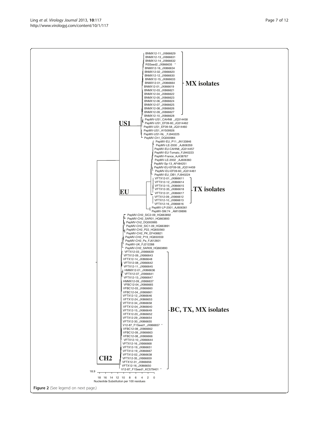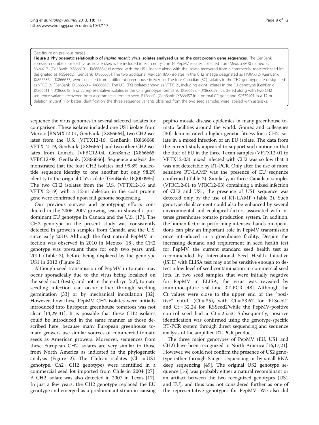#### (See figure on previous page.)

<span id="page-8-0"></span>Figure 2 Phylogenetic relationship of Pepino mosaic virus isolates analyzed using the coat protein gene sequences. The GenBank accession numbers for each virus isolate used were included in each entry. The 16 PepMV isolates collected from Mexico (MX) named as BNMX12- [GenBank: JX866619 – JX866634] clustered with the US1 lineage along with the isolate recovered from a commercial rootstock seed lot designated as 'RSSeed2', [GenBank: JX866635]. The two additional Mexican (MX) isolates in the CH2 lineage designated as HMMX12- [GenBank: JX866636 – JX866637] were collected from a different greenhouse in Mexico. The four Canadian (BC) isolates in the CH2 genotype are designated as VFBC12- [GenBank: JX866660 – JX866663]. The U.S. (TX) isolates shown as VFTX12-, including eight isolates in the EU genotype [GenBank:

JX866611 – JX866618] and 22 representative isolates in the CH2 genotype [GenBank: JX866638 – JX866659], clustered along with two CH2 sequence variants recovered from a commercial tomato seed 'F1Seed1' [GenBank: JX866657 in a normal CP gene and KC579401 in a 12-nt deletion mutant]. For better identification, the three sequence variants obtained from the two seed samples were labeled with asterisks.

sequence the virus genomes in several selected isolates for comparison. These isolates included one US1 isolate from Mexico [BNMX12-01, GenBank: JX866664], two CH2 isolates from the U.S. [VFTX12-16, GenBank: JX866668; VFTX12-19, GenBank: JX866667] and two other CH2 isolates from Canada [VFBC12-04, GenBank: JX866665; VFBC12-08, GenBank: JX866666]. Sequence analysis demonstrated that the four CH2 isolates had 99.8% nucleotide sequence identity to one another but only 98.2% identity to the original Ch2 isolate [GenBank: DQ000985]. The two CH2 isolates from the U.S. (VFTX12-16 and VFTX12-19) with a 12-nt deletion in the coat protein gene were confirmed upon full genome sequencing.

Our previous surveys and genotyping efforts conducted in the 2006–2007 growing season showed a predominant EU genotype in Canada and the U.S. [\[17\]](#page-11-0). The CH2 genotype in the present study was consistently detected in grower's samples from Canada and the U.S. since early 2010. Although the first natural PepMV infection was observed in 2010 in Mexico [[18\]](#page-11-0), the CH2 genotype was prevalent there for only two years until 2011 (Table [3](#page-6-0)), before being displaced by the genotype US1 in 2012 (Figure 2).

Although seed transmission of PepMV in tomato may occur sporadically due to the virus being localized on the seed coat (testa) and not in the embryo [[32\]](#page-11-0), tomato seedling infection can occur either through seedling germination [\[33\]](#page-11-0) or by mechanical inoculation [\[32](#page-11-0)]. However, how these PepMV CH2 isolates were initially introduced into European greenhouse tomatoes was not clear [\[14,29-31](#page-11-0)]. It is possible that these CH2 isolates could be introduced in the same manner as those described here, because many European greenhouse tomato growers use similar sources of commercial tomato seeds as American growers. Moreover, sequences from these European CH2 isolates are very similar to those from North America as indicated in the phylogenetic analysis (Figure 2). The Chilean isolates (Ch1 = US1 genotype, Ch2 = CH2 genotype) were identified in a commercial seed lot imported from Chile in 2004 [\[27](#page-11-0)]. A CH2 isolate was also detected in 2007 in Texas [\[17](#page-11-0)]. In just a few years, the CH2 genotype replaced the EU genotype and emerged as a predominant strain in causing

pepino mosaic disease epidemics in many greenhouse tomato facilities around the world. Gomez and colleagues [[30](#page-11-0)] demonstrated a higher genetic fitness for a CH2 isolate in a mixed infection of an EU isolate. The data from the current study appeared to support such notion in that the titer of EU in the three Texan samples (VFTX12-01 to VFTX12-03) mixed infected with CH2 was so low that it was not detectable by RT-PCR. Only after the use of more sensitive RT-LAMP was the presence of EU sequence confirmed (Table [2](#page-4-0)). Similarly, in three Canadian samples (VFBC12-01 to VFBC12-03) containing a mixed infection of CH2 and US1, the presence of US1 sequence was detected only by the use of RT-LAMP (Table [2\)](#page-4-0). Such genotype displacement could also be enhanced by several environmental and ecological factors associated with intense greenhouse tomato production system. In addition, the human factor in performing intensive hands-on operations can play an important role in PepMV transmission once introduced in a greenhouse facility. Despite the increasing demand and requirement in seed health test for PepMV, the current standard seed health test as recommended by International Seed Health Initiative (ISHI) with ELISA test may not be sensitive enough to detect a low level of seed contamination in commercial seed lots. In two seed samples that were initially negative for PepMV in ELISA, the virus was revealed by immunocapture real-time RT-PCR [[48](#page-12-0)]. Although the Ct values were close to the upper end of the "positive" cutoff  $(Ct = 35)$ , with  $Ct = 33.67$  for 'F1Seed1' and  $Ct = 32.24$  for 'RSSeed2'while the PepMV-positive control seed had a  $Ct = 25.53$ . Subsequently, positive identification was confirmed using the genotype-specific RT-PCR system through direct sequencing and sequence analysis of the amplified RT-PCR product.

The three major genotypes of PepMV (EU, US1 and CH2) have been recognized in North America [\[16,17,21](#page-11-0)]. However, we could not confirm the presence of US2 genotype either through Sanger sequencing or by small RNA deep sequencing [\[49\]](#page-12-0). The original US2 genotype sequence [\[16](#page-11-0)] was probably either a natural recombinant or an artifact between the two recognized genotypes (US1 and EU), and thus was not considered further as one of the representative genotypes for PepMV. We also did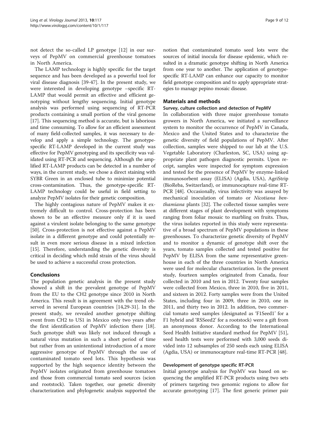not detect the so-called LP genotype [[12\]](#page-11-0) in our surveys of PepMV on commercial greenhouse tomatoes in North America.

The LAMP technology is highly specific for the target sequence and has been developed as a powerful tool for viral disease diagnosis [\[39](#page-11-0)-[47\]](#page-12-0). In the present study, we were interested in developing genotype –specific RT-LAMP that would permit an effective and efficient genotyping without lengthy sequencing. Initial genotype analysis was performed using sequencing of RT-PCR products containing a small portion of the viral genome [[17](#page-11-0)]. This sequencing method is accurate, but is laborious and time consuming. To allow for an efficient assessment of many field-collected samples, it was necessary to develop and apply a simple technology. The genotypespecific RT-LAMP developed in the current study was effective for PepMV genotyping and its specificity was validated using RT-PCR and sequencing. Although the amplified RT-LAMP products can be detected in a number of ways, in the current study, we chose a direct staining with SYBR Green in an enclosed tube to minimize potential cross-contamination. Thus, the genotype-specific RT-LAMP technology could be useful in field setting to analyze PepMV isolates for their genetic composition.

The highly contagious nature of PepMV makes it extremely difficult to control. Cross-protection has been shown to be an effective measure only if it is used against a virulent isolate belonging to the same genotype [[50\]](#page-12-0). Cross-protection is not effective against a PepMV isolate in a different genotype and could potentially result in even more serious disease in a mixed infection [[15\]](#page-11-0). Therefore, understanding the genetic diversity is critical in deciding which mild strain of the virus should be used to achieve a successful cross protection.

# Conclusions

The population genetic analysis in the present study showed a shift in the prevalent genotype of PepMV from the EU to the CH2 genotype since 2010 in North America. This result is in agreement with the trend observed in several European countries [\[14,29-31](#page-11-0)]. In the present study, we revealed another genotype shifting event from CH2 to US1 in Mexico only two years after the first identification of PepMV infection there [\[18](#page-11-0)]. Such genotype shift was likely not induced through a natural virus mutation in such a short period of time but rather from an unintentional introduction of a more aggressive genotype of PepMV through the use of contaminated tomato seed lots. This hypothesis was supported by the high sequence identity between the PepMV isolates originated from greenhouse tomatoes and those from commercial tomato seed sources (scion and rootstock). Taken together, our genetic diversity characterization and phylogenetic analysis supported the notion that contaminated tomato seed lots were the sources of initial inocula for disease epidemic, which resulted in a dramatic genotype shifting in North America from one year to another. The application of genotypespecific RT-LAMP can enhance our capacity to monitor field genotype composition and to apply appropriate strategies to manage pepino mosaic disease.

# Materials and methods

## Survey, culture collection and detection of PepMV

In collaboration with three major greenhouse tomato growers in North America, we initiated a surveillance system to monitor the occurrence of PepMV in Canada, Mexico and the United States and to characterize the genetic diversity of field populations of PepMV. After collection, samples were shipped to our lab at the U.S. Vegetable Laboratory (Charleston, SC, USA) using appropriate plant pathogen diagnostic permits. Upon receipt, samples were inspected for symptom expression and tested for the presence of PepMV by enzyme-linked immunosorbent assay (ELISA) (Agdia, USA), AgriStrip (BioReba, Switzerland), or immunocapture real-time RT-PCR [\[48](#page-12-0)]. Occasionally, virus infectivity was assayed by mechanical inoculation of tomato or Nicotiana benthamiana plants [\[32](#page-11-0)]. The collected tissue samples were at different stages of plant development with symptoms ranging from foliar mosaic to marbling on fruits. Thus, the virus isolates reported in this study were representative of a broad spectrum of PepMV populations in these greenhouses. To characterize genetic diversity of PepMV and to monitor a dynamic of genotype shift over the years, tomato samples collected and tested positive for PepMV by ELISA from the same representative greenhouse in each of the three countries in North America were used for molecular characterization. In the present study, fourteen samples originated from Canada, four collected in 2010 and ten in 2012. Twenty four samples were collected from Mexico, three in 2010, five in 2011, and sixteen in 2012. Forty samples were from the United States, including four in 2009, three in 2010, one in 2011, and thirty two in 2012. In addition, two commercial tomato seed samples (designated as 'F1Seed1' for a F1 hybrid and 'RSSeed2' for a rootstock) were a gift from an anonymous donor. According to the International Seed Health Initiative standard method for PepMV [\[51](#page-12-0)], seed health tests were performed with 3,000 seeds divided into 12 subsamples of 250 seeds each using ELISA (Agdia, USA) or immunocapture real-time RT-PCR [[48\]](#page-12-0).

## Development of genotype specific RT-PCR

Initial genotype analysis for PepMV was based on sequencing the amplified RT-PCR products using two sets of primers targeting two genomic regions to allow for accurate genotyping [[17\]](#page-11-0). The first generic primer pair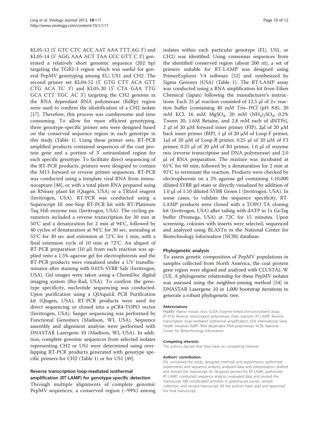KL05-13 (5′ GTC CTC ACC AAT AAA TTT AG 3′) and KL05-14 (5′ AGG AAA ACT TAA CCC GTT C 3′) generated a relatively short genomic sequence (202 bp) targeting the TGB2-3 region which was useful for general PepMV genotyping among EU, US1 and CH2. The second primer set KL04-52 (5' GTG CTT ACA GTT  $CTG$  ACA  $TC$  3 $')$  and KL05-20 (5 $'$  CTA GAA TTG GCA CTT TGC AC 3 $^{\prime}$ ) targeting the CH2 genome in the RNA dependant RNA polymerase (RdRp) region were used to confirm the identification of a CH2 isolate [[17\]](#page-11-0). Therefore, this process was cumbersome and time consuming. To allow for more efficient genotyping, three genotype-specific primer sets were designed based on the conserved sequence region in each genotype in this study (Table [1\)](#page-3-0). Using these primer sets, RT-PCR amplified products contained sequences of the coat protein gene and a portion of  $3'$  untranslated region for each specific genotype. To facilitate direct sequencing of the RT-PCR products, primers were designed to contain the M13 forward or reverse primer sequences. RT-PCR was conducted using a template viral RNA from immunocapture [[48\]](#page-12-0), or with a total plant RNA prepared using an RNeasy plant kit (Qiagen, USA) or a TRIzol reagent (Invitrogen, USA). RT-PCR was conducted using a Superscript III one-Step RT-PCR kit with RT/Platinum Taq Hifi enzyme mix (Invitrogen, USA). The cycling parameters included a reverse transcription for 30 min at 50°C and a denaturation for 2 min at 94°C, followed by 40 cycles of denaturation at 94°C for 30 sec, annealing at 55°C for 30 sec and extension at 72°C for 1 min, with a final extension cycle of 10 min at 72°C. An aliquot of RT-PCR preparation (10 μl) from each reaction was applied onto a 1.5% agarose gel for electrophoresis and the RT-PCR products were visualized under a UV transilluminator after staining with 0.01% SYBR Safe (Invitrogen, USA). Gel images were taken using a ChemiDoc digital imaging system (Bio-Rad, USA). To confirm the genotype specificity, nucleotide sequencing was conducted. Upon purification using a QIAquick PCR Purification kit (Qiagen, USA), RT-PCR products were used for direct sequencing or cloned into a pCR4-TOPO vector (Invitrogen, USA). Sanger sequencing was performed by Functional Genomics (Madison, WI, USA). Sequence assembly and alignment analysis were performed with DNASTAR Lasergene 10 (Madison, WI, USA). In addition, complete genomic sequences from selected isolates representing CH2 or US1 were determined using overlapping RT-PCR products generated with genotype specific primers for CH2 (Table [1\)](#page-3-0) or for US1 [\[49](#page-12-0)].

## Reverse transcription loop-mediated isothermal amplification (RT-LAMP) for genotype-specific detection

Through multiple alignments of complete genomic PepMV sequences, a conserved region (~99%) among

isolates within each particular genotype (EU, US1, or CH2) was identified. Using consensus sequences from the identified conserved region (about 200 nt), a set of primers suitable for RT-LAMP was designed using PrimerExplorer V4 software [\[52](#page-12-0)] and synthesized by Sigma Genosys (USA) (Table [1\)](#page-3-0). The RT-LAMP assay was conducted using a RNA amplification kit from Eiken Chemical (Japan) following the manufacturer's instructions. Each 25 μl reaction consisted of 12.5 μl of 2× reaction buffer [containing 40 mM Tris–HCl (pH 8.8), 20 mM KCl, 16 mM MgSO<sub>4</sub>, 20 mM (NH<sub>4</sub>)<sub>2</sub>SO<sub>4</sub>, 0.2% Tween 20, 1.6M Betaine, and 2.8 mM each of dNTPs], 2 μl of 20 μM forward inner primer (FIP), 2μl of 20 μM back inner primer (BIP), 1 μl of 20 μM of Loop-F primer, 1μl of 20 μM of Loop-B primer, 0.25 μl of 20 μM of F3 primer, 0.25 μl of 20 μM of B3 primer, 1.0 μl of enzyme mix (reverse transcriptase and DNA polymerase) and 2.0 μl of RNA preparation. The mixture was incubated at 65°C for 60 min, followed by a denaturation for 2 min at 95°C to terminate the reaction. Products were checked by electrophoresis on a 2% agarose gel containing 1:10,000 diluted SYBR gel stain or directly visualized by addition of 1.0 μl of 1:10 diluted SYBR Green I (Invitrogen, USA). In some cases, to validate the sequence specificity, RT-LAMP products were cloned with a TOPO TA cloning kit (Invitrogen, USA) after tailing with dATP in 1x GoTag buffer (Promega, USA) at 72C for 15 minutes. Upon screening, colonies with inserts were selected, sequenced and analyzed using BLASTn in the National Center for Biotechnology Information (NCBI) database.

## Phylogenetic analysis

To assess genetic composition of PepMV populations in samples collected from North America, the coat protein gene region were aligned and analyzed with CLUSTAL-W [[53](#page-12-0)]. A phylogenetic relationship for these PepMV isolates was assessed using the neighbor-joining method [[54](#page-12-0)] in DNASTAR Lasergene 10 in 1,000 bootstrap iterations to generate a robust phylogenetic tree.

#### Abbreviations

PepMV: Pepino mosaic virus; ELISA: Enzyme-linked immunosorbent assay; RT-PCR: Reverse transcription polymerase chain reaction; RT-LAMP: Reverse transcription loop-mediated isothermal amplification; ISHI: International Seed Health Initiative; RdRP: RNA-dependant RNA polymerase; NCBI: National Center for Biotechnology Information.

#### Competing interests

The authors declare that they have no competing interests.

#### Authors' contribution

KSL conceived the study, designed methods and experiments; performed experiments and sequence analysis; analyzed data and interpretation, drafted and revised the manuscript. RL designed primers for RT-LAMP; performed RT-LAMP; conducted sequence analysis; evaluated data and revised the manuscript. MB coordinated activities in greenhouse survey, sample collection, and revised manuscript. All the authors have read and approved the final manuscript.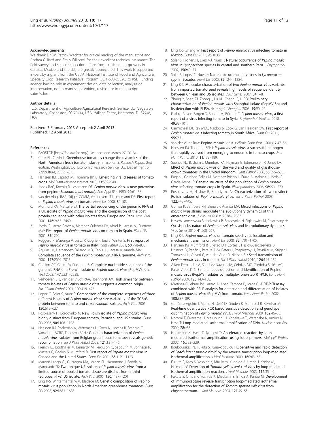#### <span id="page-11-0"></span>Acknowledgements

We thank Dr. W. Patrick Wechter for critical reading of the manuscript and Andrea Gilliard and Emily Fillippeli for their excellent technical assistance. The field survey and sample collection efforts from participating growers in Canada, Mexico and the U.S. are greatly appreciated. This work is supported in-part by a grant from the USDA, National Institute of Food and Agriculture, Specialty Crop Research Initiative Program (SCRI-600-25320) to KSL. Funding agency had no role in experiment design, data collection, analysis or interpretation, nor in manuscript writing, revision or in manuscript submission.

#### Author details

<sup>1</sup>U.S. Department of Agriculture-Agricultural Research Service, U.S. Vegetable Laboratory, Charleston, SC 29414, USA. <sup>2</sup>Village Farms, Heathrow, FL 32746, USA.

#### Received: 7 February 2013 Accepted: 2 April 2013 Published: 12 April 2013

#### References

- FAOSTAT: [<http://faostat.fao.org/>] (last accessed March 27, 2013).
- 2. Cook RL, Calvin L: Greenhouse tomatoes change the dynamics of the North American fresh tomato industry. In Economic Research Report. 2nd edition. Washington, DC: Economic Research Service, U.S. Department of Agriculture; 2005:1–81.
- 3. Hanssen IM, Lapidot M, Thomma BPHJ: Emerging viral diseases of tomato crops. Mol Plant-Microbe Interact 2010, 23:539–548.
- 4. Jones RAC, Koenig R, Lesemann DE: Pepino mosaic virus, a new potexvirus from pepino (Solanum muricantum). Ann Appl Biol 1980, 94:61-68.
- van der Vlugt RAA, Stijger CCMM, Verhoeven JTJ, Lesemann DE: First report of Pepino mosaic virus on tomato. Plant Dis 2000, 84:103.
- 6. Mumford RA, Metcalfe EJ: The partial sequencing of the genomic RNA of a UK isolate of Pepino mosaic virus and the comparison of the coat protein sequence with other isolates from Europe and Peru. Arch Virol 2001, 146:2455–2460.
- 7. Jorda C, Lazaro-Perez A, Martinez-Culebras PV, Abad P, Lacasa A, Guerrero MM: First report of Pepino mosaic virus on tomato in Spain. Plant Dis 2001, 85:1292.
- Roggero P, Masenga V, Lenzi R, Coghe F, Ena S, Winter S: First report of Pepino mosaic virus in tomato in Italy. Plant Pathol 2001, 50:798-800.
- 9. Aguilar JM, Hernandez-Gallarod MD, Cenis JL, Lacasa A, Aranda MA: Complete sequence of the Pepino mosaic virus RNA genome. Arch Virol 2002, 147:2009–2015.
- 10. Cotillon AC, Girard M, Ducouret S: Complete nucleotide sequence of the genomic RNA of a French isolate of Pepino mosaic virus (PepMV). Arch Virol 2002, 147:2231–2238.
- 11. Verhoeven JTJ, van der Vlugt RAA, Roenhorst JW: High similarity between tomato isolates of Pepino mosaic virus suggests a common origin. Eur J Plant Pathol 2003, 109:419–425.
- 12. Lopez C, Soler S, Nuez F: Comparison of the complete sequences of three different isolates of Pepino mosaic virus: size variability of the TGBp3 protein between tomato and L. peruvianum isolates. Arch Virol 2005, 150:619–627.
- 13. Pospieszny H, Borodynko N: New Polish isolate of Pepino mosaic virus highly distinct from European tomato, Peruvian, and US2 strains. Plant Dis 2006, 90:1106–1108.
- 14. Hanssen IM, Paeleman A, Wittemans L, Goen K, Lievens B, Bragard C, Vanachter ACRC, Thomma BPHJ: Genetic characterization of Pepino mosaic virus isolates from Belgian greenhouse tomatoes reveals genetic recombination. Eur J Plant Pathol 2008, 121:131–146.
- 15. French CJ, Bouthillier M, Bernardy M, Ferguson G, Sabourin M, Johnson R, Masters C, Godkin S, Mumford R: First report of Pepino mosaic virus in Canada and the United States. Plant Dis 2001, 85:1121–1123.
- 16. Maroon-Lango CJ, Guaragna MA, Jordan RL, Hammond J, Bandla M, Marquardt SK: Two unique US isolates of Pepino mosaic virus from a limited source of pooled tomato tissue are distinct from a third (European-like) US isolate. Arch Virol 2005, 150:1187–1201.
- 17. Ling K-S, Wintermantel WM, Bledsoe M: Genetic composition of Pepino mosaic virus population in North American greenhouse tomatoes. Plant Dis 2008, 92:1683–1688.
- 18. Ling K-S, Zhang W: First report of Pepino mosaic virus infecting tomato in Mexico. Plant Dis 2011, 95:1035.
- 19. Soler S, Prohens J, Diez MJ, Nuez F: Natural occurrence of Pepino mosaic virus in Lycopersicon species in central and southern Peru. J Phytopathol 2002, 150:49–53.
- 20. Soler S, Lopez C, Nuez F: Natural occurrence of viruses in Lycopersicon spp. in Ecuador. Plant Dis 2005, 89:1244–1254.
- 21. Ling K-S: Molecular characterization of two Pepino mosaic virus variants from imported tomato seed reveals high levels of sequence identity between Chilean and US isolates. Virus Genes 2007, 34:1–8.
- 22. Zhang Y, Shen ZJ, Zhong J, Lu XL, Cheng G, Li RD: Preliminary characterization of Pepino mosaic virus Shanghai isolate (PepMV-Sh) and its detection with ELISA. Acta Agric Shanghai 2003, 19:90–92.
- 23. Fakhro A, von Bargen S, Bandte M, Büttner C: Pepino mosaic virus, a first report of a virus infecting tomato in Syria. Phytopathol Mediterr 2010, 49:99–101.
- 24. Carmichael DJ, Rey MEC, Naidoo S, Cook G, van Heerden SW: First report of Pepino mosaic virus infecting tomato in South Africa. Plant Dis 2011,  $95.767$
- 25. van der Vlugt RAA: Pepino mosaic virus. Hellenic Plant Prot J 2009, 2:47-56.
- 26. Hanssen IM, Thomma BPHJ: Pepino mosaic virus: a successful pathogen that rapidly evolved from emerging to endemic in tomato crops. Mol Plant Pathol 2010, 11:179–189.
- 27. Spence NJ, Basham J, Mumford RA, Hayman G, Edmondson R, Jones DR: Effect of Pepino mosaic virus on the yield and quality of glasshousegrown tomatoes in the United Kingdom. Plant Pathol 2006, 55:595-606.
- 28. Pagan I, Cordoba-Selles M, Martinez-Priego L, Fraile A, Malpica J, Jorda C, Garcia-Arenal F: Genetic structure of the population of Pepino mosaic virus infecting tomato crops in Spain. Phytopathology 2006, 96:274–279.
- 29. Pospieszny H, Hasiów B, Borodynko N: Characterization of two distinct Polish isolates of Pepino mosaic virus. Eur J Plant Pathol 2008, 122:443–445.
- 30. Gomez P, Sempere RN, Elena SF, Aranda MA: Mixed infections of Pepino mosaic virus strains modulate the evolutionary dynamics of this emergent virus. J Virol 2009, 83:12378–12387.
- 31. Hasiow-Jaroszewska B, Jackowiak P, Borodynko N, Figlerowicz M, Pospieszny H: Quasispecies nature of Pepino mosaic virus and its evolutionary dynamics. Virus Genes 2010, 41:260–267.
- 32. Ling K-S: Pepino mosaic virus on tomato seed: virus location and mechanical transmission. Plant Dis 2008, 92:1701–1705.
- 33. Hanssen IM, Mumford R, Blystad DR, Cortez I, Hasiów-Jaroszewska B, Hristova D, Pagán I, Pereira A-M, Peters J, Pospieszny H, Ravnikar M, Stijger I, Tomassoli L, Varveri C, van der Vlugt R, Nielsen SL: Seed transmission of Pepino mosaic virus in tomato. Eur J Plant Pathol 2010, 126:145-152.
- 34. Alfaro-Fernandez A, Sánchez-Navarro JA, Cebrián MC, Córdoba-Sellés MC, Pallás V, Jordá C: Simultaneous detection and identification of Pepino mosaic virus (PepMV) isolates by multiplex one-step RT-PCR. Eur J Plant Pathol 2009, 125:143–158.
- 35. Martinez-Culebrae PV, Lazaro A, Abad Campos P, Jorda C: A RT-PCR assay combined with RFLP analysis for detection and differentiation of isolates of Pepino mosaic virus (PepMV) from tomato. Eur J Plant Pathol 2002, 108:887–892.
- 36. Gutiérrez-Aguirre I, Mehle N, Delić D, Gruden K, Mumford R, Ravnikar M: Real-time quantitative PCR based sensitive detection and genotype discrimination of Pepino mosaic virus. J Virol Methods 2009, 162:46–55.
- 37. Notomi T, Okayama H, Masubuchi H, Yonekawa T, Watanabe K, Amino N, Hase T: Loop-mediated isothermal amplification of DNA. Nucleic Acids Res 2000, 28:e63.
- 38. Nagamine K, Hase T, Notomi T: Accelerated reaction by loop mediated isothermal amplification using loop primers. Mol Cell Probes 2002, 16:223–229.
- 39. Boubourakas IN, Fukuta S, Kyriakopoulou PE: Sensitive and rapid detection of Peach latent mosaic viroid by the reverse transcription loop-mediated isothermal amplification. J Virol Methods 2009, 160:63–68.
- 40. Fukuta S, Kato S, Yoshida K, Mizukami Y, Ishida A, Ureda J, Kanbe M, Ishimoto Y: Detection of Tomato yellow leaf curl virus by loop-mediated isothermal amplification reaction. J Virol Methods 2003, 112:35–40.
- 41. Fukuta S, Ohishi K, Yoshida K, Mizukami Y, Ishida A, Kanbe M: Development of immunocapture reverse transcription loop-mediated isothermal amplification for the detection of Tomato spotted wilt virus from chrysanthemum. J Virol Methods 2004, 121:49–55.